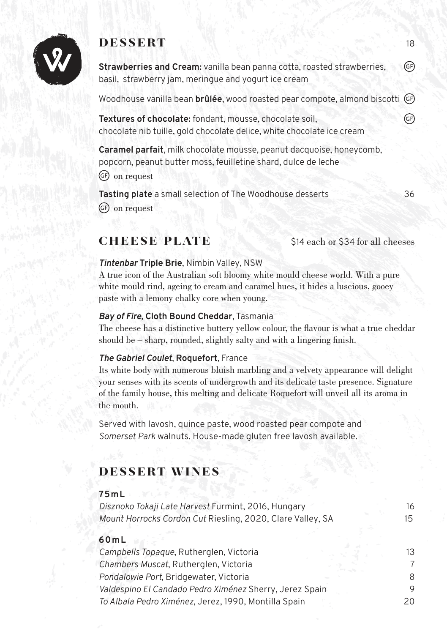

# **dessert** 18 Web and the series of the series of

**Strawberries and Cream:** vanilla bean panna cotta, roasted strawberries, GF) basil, strawberry jam, meringue and yogurt ice cream

Woodhouse vanilla bean **brûlée**, wood roasted pear compote, almond biscotti

**Textures of chocolate:** fondant, mousse, chocolate soil, chocolate nib tuille, gold chocolate delice, white chocolate ice cream

**Caramel parfait**, milk chocolate mousse, peanut dacquoise, honeycomb, popcorn, peanut butter moss, feuilletine shard, dulce de leche GF) on request

**Tasting plate** a small selection of The Woodhouse desserts 36 on request

# **\$14 each or \$34 for all cheeses**

## *Tintenbar* **Triple Brie**, Nimbin Valley, NSW

A true icon of the Australian soft bloomy white mould cheese world. With a pure white mould rind, ageing to cream and caramel hues, it hides a luscious, gooey paste with a lemony chalky core when young.

#### *Bay of Fire,* **Cloth Bound Cheddar**, Tasmania

The cheese has a distinctive buttery yellow colour, the flavour is what a true cheddar should be – sharp, rounded, slightly salty and with a lingering finish.

#### *The Gabriel Coulet*, **Roquefort**, France

Its white body with numerous bluish marbling and a velvety appearance will delight your senses with its scents of undergrowth and its delicate taste presence. Signature of the family house, this melting and delicate Roquefort will unveil all its aroma in the mouth.

Served with lavosh, quince paste, wood roasted pear compote and *Somerset Park* walnuts. House-made gluten free lavosh available.

# dessert wines

## **75mL**

*Disznoko Tokaji Late Harvest* Furmint, 2016, Hungary 16 *Mount Horrocks Cordon Cut* Riesling, 2020, Clare Valley, SA 15

## **60mL**

| Campbells Topaque, Rutherglen, Victoria<br>Chambers Muscat, Rutherglen, Victoria | 13. |
|----------------------------------------------------------------------------------|-----|
|                                                                                  |     |
| Pondalowie Port, Bridgewater, Victoria                                           | 8   |
| Valdespino El Candado Pedro Ximénez Sherry, Jerez Spain                          | 9   |
| To Albala Pedro Ximénez, Jerez, 1990, Montilla Spain                             | 20. |